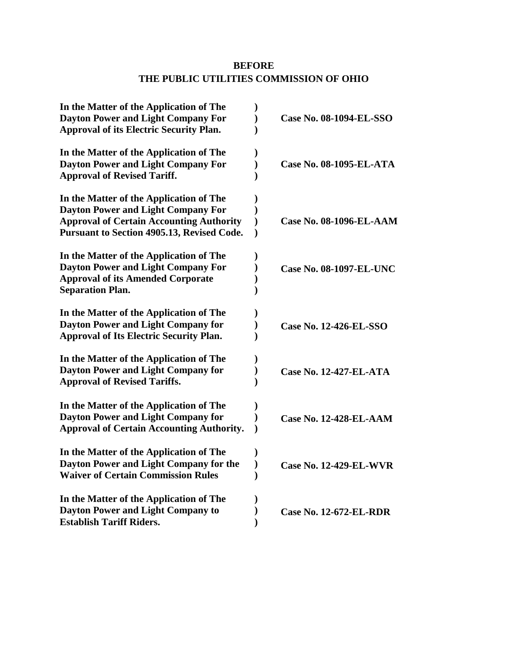# **BEFORE THE PUBLIC UTILITIES COMMISSION OF OHIO**

|               | Case No. 08-1094-EL-SSO        |
|---------------|--------------------------------|
|               |                                |
|               |                                |
|               | Case No. 08-1095-EL-ATA        |
|               |                                |
|               |                                |
|               |                                |
| $\mathcal{E}$ | <b>Case No. 08-1096-EL-AAM</b> |
| $\mathbf{)}$  |                                |
|               |                                |
|               | <b>Case No. 08-1097-EL-UNC</b> |
|               |                                |
|               |                                |
|               |                                |
|               | <b>Case No. 12-426-EL-SSO</b>  |
|               |                                |
|               |                                |
|               | <b>Case No. 12-427-EL-ATA</b>  |
|               |                                |
|               |                                |
|               | <b>Case No. 12-428-EL-AAM</b>  |
|               |                                |
|               |                                |
|               | <b>Case No. 12-429-EL-WVR</b>  |
|               |                                |
|               |                                |
|               |                                |
|               | <b>Case No. 12-672-EL-RDR</b>  |
|               | $\mathcal Y$                   |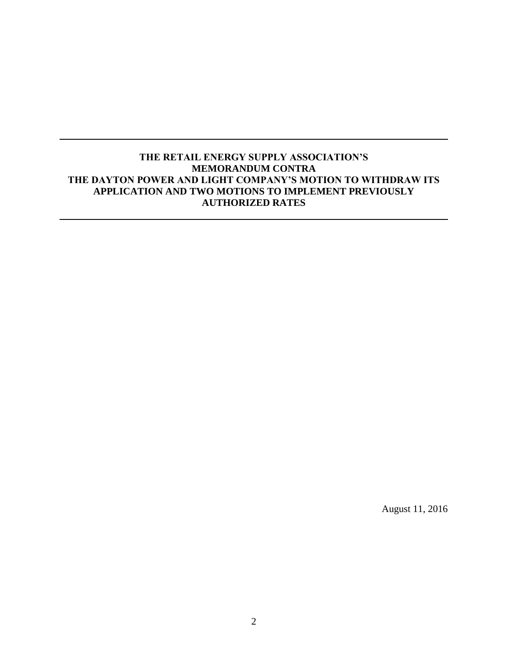## **THE RETAIL ENERGY SUPPLY ASSOCIATION'S MEMORANDUM CONTRA THE DAYTON POWER AND LIGHT COMPANY'S MOTION TO WITHDRAW ITS APPLICATION AND TWO MOTIONS TO IMPLEMENT PREVIOUSLY AUTHORIZED RATES**

August 11, 2016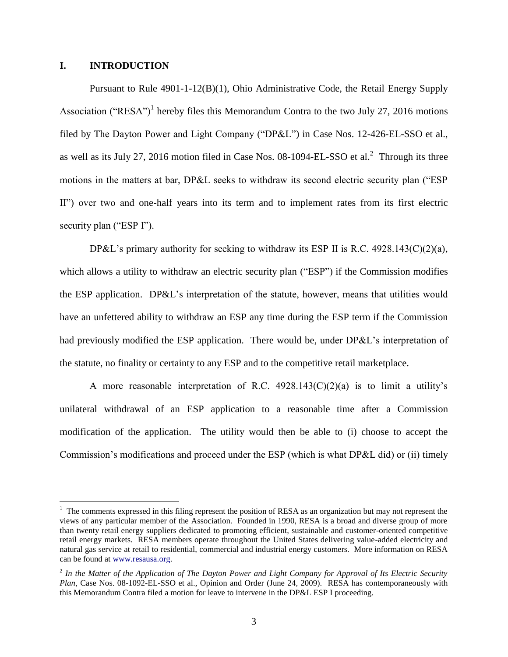### **I. INTRODUCTION**

 $\overline{a}$ 

Pursuant to Rule 4901-1-12(B)(1), Ohio Administrative Code, the Retail Energy Supply Association ("RESA")<sup>1</sup> hereby files this Memorandum Contra to the two July 27, 2016 motions filed by The Dayton Power and Light Company ("DP&L") in Case Nos. 12-426-EL-SSO et al., as well as its July 27, 2016 motion filed in Case Nos.  $08-1094$ -EL-SSO et al.<sup>2</sup> Through its three motions in the matters at bar, DP&L seeks to withdraw its second electric security plan ("ESP II") over two and one-half years into its term and to implement rates from its first electric security plan ("ESP I").

DP&L's primary authority for seeking to withdraw its ESP II is R.C. 4928.143(C)(2)(a), which allows a utility to withdraw an electric security plan ("ESP") if the Commission modifies the ESP application. DP&L's interpretation of the statute, however, means that utilities would have an unfettered ability to withdraw an ESP any time during the ESP term if the Commission had previously modified the ESP application. There would be, under DP&L's interpretation of the statute, no finality or certainty to any ESP and to the competitive retail marketplace.

A more reasonable interpretation of R.C.  $4928.143(C)(2)(a)$  is to limit a utility's unilateral withdrawal of an ESP application to a reasonable time after a Commission modification of the application. The utility would then be able to (i) choose to accept the Commission's modifications and proceed under the ESP (which is what DP&L did) or (ii) timely

<sup>&</sup>lt;sup>1</sup> The comments expressed in this filing represent the position of RESA as an organization but may not represent the views of any particular member of the Association. Founded in 1990, RESA is a broad and diverse group of more than twenty retail energy suppliers dedicated to promoting efficient, sustainable and customer-oriented competitive retail energy markets. RESA members operate throughout the United States delivering value-added electricity and natural gas service at retail to residential, commercial and industrial energy customers. More information on RESA can be found at [www.resausa.org.](http://www.resausa.org/)

<sup>2</sup> *In the Matter of the Application of The Dayton Power and Light Company for Approval of Its Electric Security Plan*, Case Nos. 08-1092-EL-SSO et al., Opinion and Order (June 24, 2009). RESA has contemporaneously with this Memorandum Contra filed a motion for leave to intervene in the DP&L ESP I proceeding.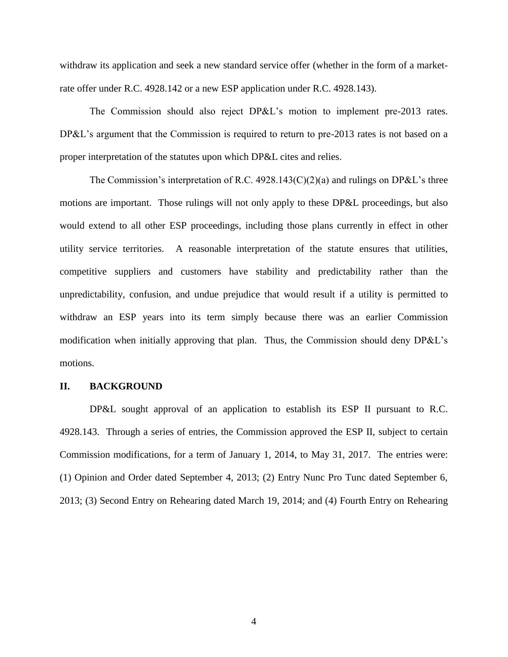withdraw its application and seek a new standard service offer (whether in the form of a marketrate offer under R.C. 4928.142 or a new ESP application under R.C. 4928.143).

The Commission should also reject DP&L's motion to implement pre-2013 rates. DP&L's argument that the Commission is required to return to pre-2013 rates is not based on a proper interpretation of the statutes upon which DP&L cites and relies.

The Commission's interpretation of R.C.  $4928.143(C)(2)(a)$  and rulings on DP&L's three motions are important. Those rulings will not only apply to these DP&L proceedings, but also would extend to all other ESP proceedings, including those plans currently in effect in other utility service territories. A reasonable interpretation of the statute ensures that utilities, competitive suppliers and customers have stability and predictability rather than the unpredictability, confusion, and undue prejudice that would result if a utility is permitted to withdraw an ESP years into its term simply because there was an earlier Commission modification when initially approving that plan. Thus, the Commission should deny DP&L's motions.

#### **II. BACKGROUND**

DP&L sought approval of an application to establish its ESP II pursuant to R.C. 4928.143. Through a series of entries, the Commission approved the ESP II, subject to certain Commission modifications, for a term of January 1, 2014, to May 31, 2017. The entries were: (1) Opinion and Order dated September 4, 2013; (2) Entry Nunc Pro Tunc dated September 6, 2013; (3) Second Entry on Rehearing dated March 19, 2014; and (4) Fourth Entry on Rehearing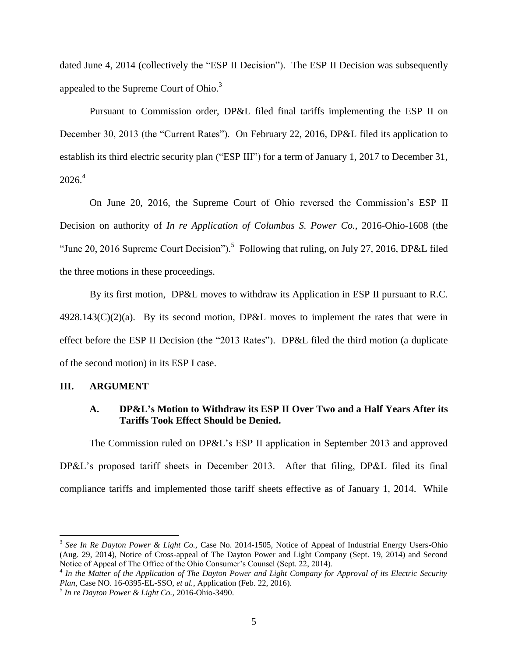dated June 4, 2014 (collectively the "ESP II Decision"). The ESP II Decision was subsequently appealed to the Supreme Court of Ohio.<sup>3</sup>

Pursuant to Commission order, DP&L filed final tariffs implementing the ESP II on December 30, 2013 (the "Current Rates"). On February 22, 2016, DP&L filed its application to establish its third electric security plan ("ESP III") for a term of January 1, 2017 to December 31,  $2026<sup>4</sup>$ 

On June 20, 2016, the Supreme Court of Ohio reversed the Commission's ESP II Decision on authority of *In re Application of Columbus S. Power Co.*, 2016-Ohio-1608 (the "June 20, 2016 Supreme Court Decision").<sup>5</sup> Following that ruling, on July 27, 2016, DP&L filed the three motions in these proceedings.

By its first motion, DP&L moves to withdraw its Application in ESP II pursuant to R.C.  $4928.143(C)(2)(a)$ . By its second motion, DP&L moves to implement the rates that were in effect before the ESP II Decision (the "2013 Rates"). DP&L filed the third motion (a duplicate of the second motion) in its ESP I case.

#### **III. ARGUMENT**

 $\overline{a}$ 

### **A. DP&L's Motion to Withdraw its ESP II Over Two and a Half Years After its Tariffs Took Effect Should be Denied.**

The Commission ruled on DP&L's ESP II application in September 2013 and approved DP&L's proposed tariff sheets in December 2013. After that filing, DP&L filed its final compliance tariffs and implemented those tariff sheets effective as of January 1, 2014. While

<sup>3</sup> *See In Re Dayton Power & Light Co.,* Case No. 2014-1505, Notice of Appeal of Industrial Energy Users-Ohio (Aug. 29, 2014), Notice of Cross-appeal of The Dayton Power and Light Company (Sept. 19, 2014) and Second Notice of Appeal of The Office of the Ohio Consumer's Counsel (Sept. 22, 2014).

<sup>4</sup> *In the Matter of the Application of The Dayton Power and Light Company for Approval of its Electric Security Plan,* Case NO. 16-0395-EL-SSO, *et al.*, Application (Feb. 22, 2016).

<sup>5</sup> *In re Dayton Power & Light Co.,* 2016-Ohio-3490.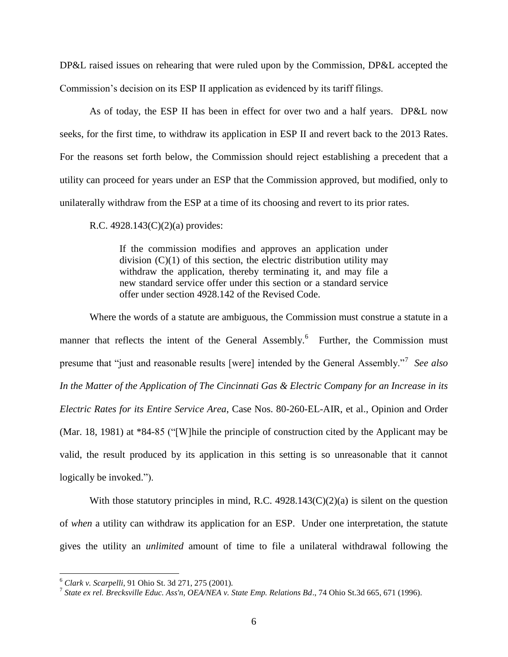DP&L raised issues on rehearing that were ruled upon by the Commission, DP&L accepted the Commission's decision on its ESP II application as evidenced by its tariff filings.

As of today, the ESP II has been in effect for over two and a half years. DP&L now seeks, for the first time, to withdraw its application in ESP II and revert back to the 2013 Rates. For the reasons set forth below, the Commission should reject establishing a precedent that a utility can proceed for years under an ESP that the Commission approved, but modified, only to unilaterally withdraw from the ESP at a time of its choosing and revert to its prior rates.

R.C. 4928.143(C)(2)(a) provides:

If the commission modifies and approves an application under division  $(C)(1)$  of this section, the electric distribution utility may withdraw the application, thereby terminating it, and may file a new standard service offer under this section or a standard service offer under section 4928.142 of the Revised Code.

Where the words of a statute are ambiguous, the Commission must construe a statute in a manner that reflects the intent of the General Assembly.<sup>6</sup> Further, the Commission must presume that "just and reasonable results [were] intended by the General Assembly."<sup>7</sup> *See also In the Matter of the Application of The Cincinnati Gas & Electric Company for an Increase in its Electric Rates for its Entire Service Area*, Case Nos. 80-260-EL-AIR, et al., Opinion and Order (Mar. 18, 1981) at \*84-85 ("[W]hile the principle of construction cited by the Applicant may be valid, the result produced by its application in this setting is so unreasonable that it cannot logically be invoked.").

With those statutory principles in mind, R.C.  $4928.143(C)(2)(a)$  is silent on the question of *when* a utility can withdraw its application for an ESP. Under one interpretation, the statute gives the utility an *unlimited* amount of time to file a unilateral withdrawal following the

<sup>6</sup> *Clark v. Scarpelli*, 91 Ohio St. 3d 271, 275 (2001).

<sup>7</sup> *State ex rel. Brecksville Educ. Ass'n, OEA/NEA v. State Emp. Relations Bd*., 74 Ohio St.3d 665, 671 (1996).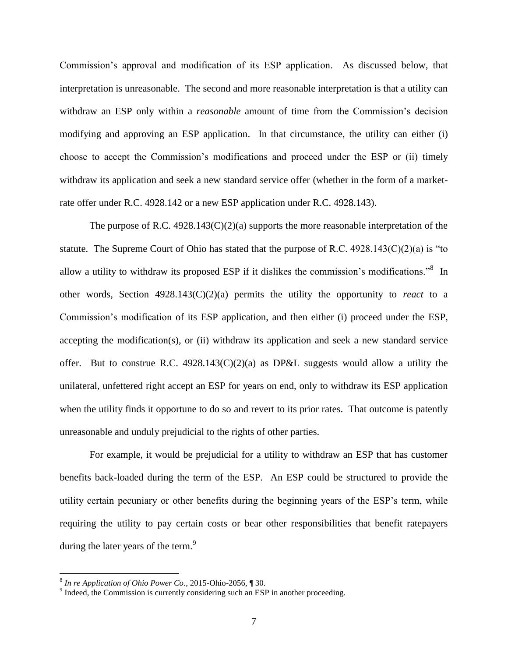Commission's approval and modification of its ESP application. As discussed below, that interpretation is unreasonable. The second and more reasonable interpretation is that a utility can withdraw an ESP only within a *reasonable* amount of time from the Commission's decision modifying and approving an ESP application. In that circumstance, the utility can either (i) choose to accept the Commission's modifications and proceed under the ESP or (ii) timely withdraw its application and seek a new standard service offer (whether in the form of a marketrate offer under R.C. 4928.142 or a new ESP application under R.C. 4928.143).

The purpose of R.C.  $4928.143(C)(2)(a)$  supports the more reasonable interpretation of the statute. The Supreme Court of Ohio has stated that the purpose of R.C.  $4928.143(C)(2)(a)$  is "to allow a utility to withdraw its proposed ESP if it dislikes the commission's modifications."<sup>8</sup> In other words, Section 4928.143(C)(2)(a) permits the utility the opportunity to *react* to a Commission's modification of its ESP application, and then either (i) proceed under the ESP, accepting the modification(s), or (ii) withdraw its application and seek a new standard service offer. But to construe R.C.  $4928.143(C)(2)(a)$  as DP&L suggests would allow a utility the unilateral, unfettered right accept an ESP for years on end, only to withdraw its ESP application when the utility finds it opportune to do so and revert to its prior rates. That outcome is patently unreasonable and unduly prejudicial to the rights of other parties.

For example, it would be prejudicial for a utility to withdraw an ESP that has customer benefits back-loaded during the term of the ESP. An ESP could be structured to provide the utility certain pecuniary or other benefits during the beginning years of the ESP's term, while requiring the utility to pay certain costs or bear other responsibilities that benefit ratepayers during the later years of the term.<sup>9</sup>

<sup>8</sup> *In re Application of Ohio Power Co.*, 2015-Ohio-2056, ¶ 30.

<sup>&</sup>lt;sup>9</sup> Indeed, the Commission is currently considering such an ESP in another proceeding.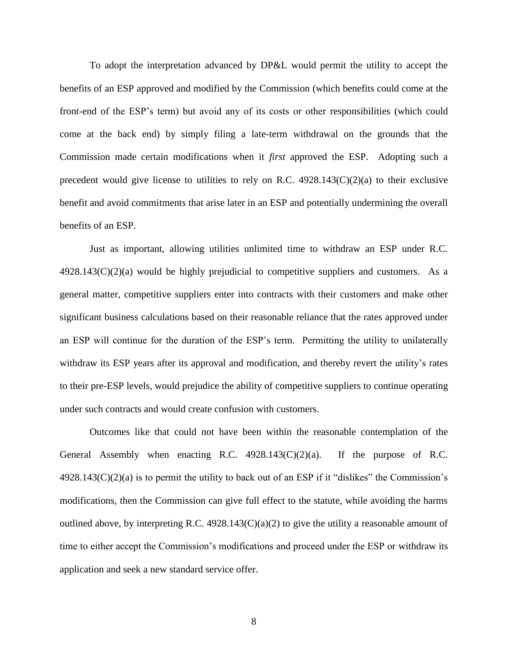To adopt the interpretation advanced by DP&L would permit the utility to accept the benefits of an ESP approved and modified by the Commission (which benefits could come at the front-end of the ESP's term) but avoid any of its costs or other responsibilities (which could come at the back end) by simply filing a late-term withdrawal on the grounds that the Commission made certain modifications when it *first* approved the ESP. Adopting such a precedent would give license to utilities to rely on R.C.  $4928.143(C)(2)(a)$  to their exclusive benefit and avoid commitments that arise later in an ESP and potentially undermining the overall benefits of an ESP.

Just as important, allowing utilities unlimited time to withdraw an ESP under R.C.  $4928.143(C)(2)(a)$  would be highly prejudicial to competitive suppliers and customers. As a general matter, competitive suppliers enter into contracts with their customers and make other significant business calculations based on their reasonable reliance that the rates approved under an ESP will continue for the duration of the ESP's term. Permitting the utility to unilaterally withdraw its ESP years after its approval and modification, and thereby revert the utility's rates to their pre-ESP levels, would prejudice the ability of competitive suppliers to continue operating under such contracts and would create confusion with customers.

Outcomes like that could not have been within the reasonable contemplation of the General Assembly when enacting R.C.  $4928.143(C)(2)(a)$ . If the purpose of R.C.  $4928.143(C)(2)(a)$  is to permit the utility to back out of an ESP if it "dislikes" the Commission's modifications, then the Commission can give full effect to the statute, while avoiding the harms outlined above, by interpreting R.C. 4928.143 $(C)(a)(2)$  to give the utility a reasonable amount of time to either accept the Commission's modifications and proceed under the ESP or withdraw its application and seek a new standard service offer.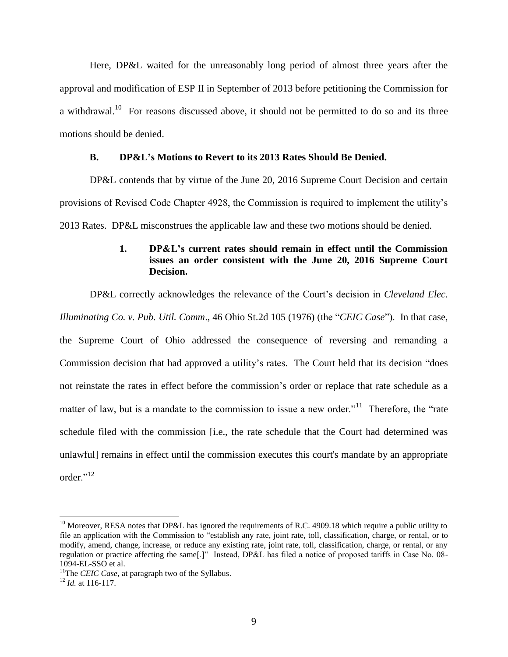Here, DP&L waited for the unreasonably long period of almost three years after the approval and modification of ESP II in September of 2013 before petitioning the Commission for a withdrawal.<sup>10</sup> For reasons discussed above, it should not be permitted to do so and its three motions should be denied.

### **B. DP&L's Motions to Revert to its 2013 Rates Should Be Denied.**

DP&L contends that by virtue of the June 20, 2016 Supreme Court Decision and certain provisions of Revised Code Chapter 4928, the Commission is required to implement the utility's 2013 Rates. DP&L misconstrues the applicable law and these two motions should be denied.

## **1. DP&L's current rates should remain in effect until the Commission issues an order consistent with the June 20, 2016 Supreme Court Decision.**

DP&L correctly acknowledges the relevance of the Court's decision in *Cleveland Elec.* 

*Illuminating Co. v. Pub. Util. Comm*., 46 Ohio St.2d 105 (1976) (the "*CEIC Case*"). In that case,

the Supreme Court of Ohio addressed the consequence of reversing and remanding a Commission decision that had approved a utility's rates. The Court held that its decision "does not reinstate the rates in effect before the commission's order or replace that rate schedule as a matter of law, but is a mandate to the commission to issue a new order."<sup>11</sup> Therefore, the "rate" schedule filed with the commission [i.e., the rate schedule that the Court had determined was unlawful] remains in effect until the commission executes this court's mandate by an appropriate order<sup>"12</sup>

<sup>&</sup>lt;sup>10</sup> Moreover, RESA notes that DP&L has ignored the requirements of R.C. 4909.18 which require a public utility to file an application with the Commission to "establish any rate, joint rate, toll, classification, charge, or rental, or to modify, amend, change, increase, or reduce any existing rate, joint rate, toll, classification, charge, or rental, or any regulation or practice affecting the same[.]" Instead, DP&L has filed a notice of proposed tariffs in Case No. 08- 1094-EL-SSO et al.

<sup>&</sup>lt;sup>11</sup>The *CEIC Case*, at paragraph two of the Syllabus.

 $^{12}$  *Id.* at 116-117.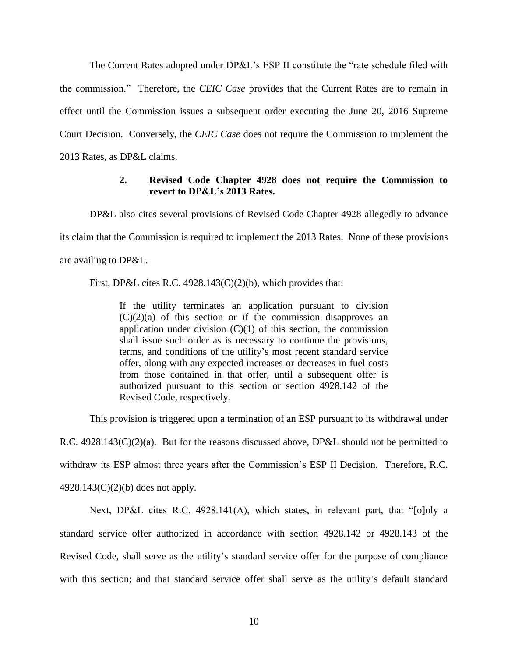The Current Rates adopted under DP&L's ESP II constitute the "rate schedule filed with the commission." Therefore, the *CEIC Case* provides that the Current Rates are to remain in effect until the Commission issues a subsequent order executing the June 20, 2016 Supreme Court Decision. Conversely, the *CEIC Case* does not require the Commission to implement the 2013 Rates, as DP&L claims.

## **2. Revised Code Chapter 4928 does not require the Commission to revert to DP&L's 2013 Rates.**

DP&L also cites several provisions of Revised Code Chapter 4928 allegedly to advance its claim that the Commission is required to implement the 2013 Rates. None of these provisions are availing to DP&L.

First, DP&L cites R.C. 4928.143(C)(2)(b), which provides that:

If the utility terminates an application pursuant to division  $(C)(2)(a)$  of this section or if the commission disapproves an application under division  $(C)(1)$  of this section, the commission shall issue such order as is necessary to continue the provisions, terms, and conditions of the utility's most recent standard service offer, along with any expected increases or decreases in fuel costs from those contained in that offer, until a subsequent offer is authorized pursuant to this section or section 4928.142 of the Revised Code, respectively.

This provision is triggered upon a termination of an ESP pursuant to its withdrawal under

R.C. 4928.143(C)(2)(a). But for the reasons discussed above, DP&L should not be permitted to withdraw its ESP almost three years after the Commission's ESP II Decision. Therefore, R.C. 4928.143(C)(2)(b) does not apply.

Next, DP&L cites R.C. 4928.141(A), which states, in relevant part, that "[o]nly a standard service offer authorized in accordance with section 4928.142 or 4928.143 of the Revised Code, shall serve as the utility's standard service offer for the purpose of compliance with this section; and that standard service offer shall serve as the utility's default standard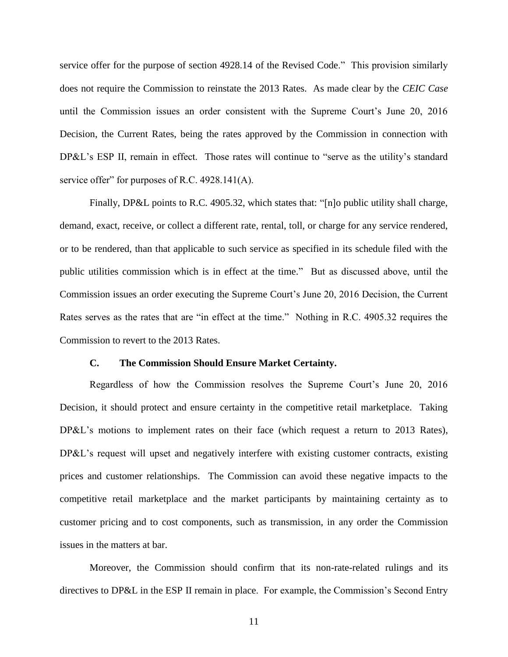service offer for the purpose of section 4928.14 of the Revised Code." This provision similarly does not require the Commission to reinstate the 2013 Rates. As made clear by the *CEIC Case* until the Commission issues an order consistent with the Supreme Court's June 20, 2016 Decision, the Current Rates, being the rates approved by the Commission in connection with DP&L's ESP II, remain in effect. Those rates will continue to "serve as the utility's standard service offer" for purposes of R.C. 4928.141(A).

Finally, DP&L points to R.C. 4905.32, which states that: "[n]o public utility shall charge, demand, exact, receive, or collect a different rate, rental, toll, or charge for any service rendered, or to be rendered, than that applicable to such service as specified in its schedule filed with the public utilities commission which is in effect at the time." But as discussed above, until the Commission issues an order executing the Supreme Court's June 20, 2016 Decision, the Current Rates serves as the rates that are "in effect at the time." Nothing in R.C. 4905.32 requires the Commission to revert to the 2013 Rates.

#### **C. The Commission Should Ensure Market Certainty.**

Regardless of how the Commission resolves the Supreme Court's June 20, 2016 Decision, it should protect and ensure certainty in the competitive retail marketplace. Taking DP&L's motions to implement rates on their face (which request a return to 2013 Rates), DP&L's request will upset and negatively interfere with existing customer contracts, existing prices and customer relationships. The Commission can avoid these negative impacts to the competitive retail marketplace and the market participants by maintaining certainty as to customer pricing and to cost components, such as transmission, in any order the Commission issues in the matters at bar.

Moreover, the Commission should confirm that its non-rate-related rulings and its directives to DP&L in the ESP II remain in place. For example, the Commission's Second Entry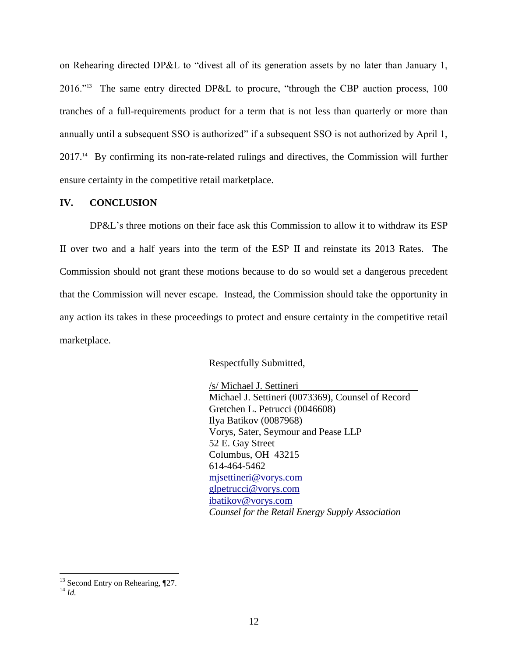on Rehearing directed DP&L to "divest all of its generation assets by no later than January 1, 2016."<sup>13</sup> The same entry directed DP&L to procure, "through the CBP auction process, 100 tranches of a full-requirements product for a term that is not less than quarterly or more than annually until a subsequent SSO is authorized" if a subsequent SSO is not authorized by April 1, 2017.<sup>14</sup> By confirming its non-rate-related rulings and directives, the Commission will further ensure certainty in the competitive retail marketplace.

## **IV. CONCLUSION**

DP&L's three motions on their face ask this Commission to allow it to withdraw its ESP II over two and a half years into the term of the ESP II and reinstate its 2013 Rates. The Commission should not grant these motions because to do so would set a dangerous precedent that the Commission will never escape. Instead, the Commission should take the opportunity in any action its takes in these proceedings to protect and ensure certainty in the competitive retail marketplace.

Respectfully Submitted,

/s/ Michael J. Settineri Michael J. Settineri (0073369), Counsel of Record Gretchen L. Petrucci (0046608) Ilya Batikov (0087968) Vorys, Sater, Seymour and Pease LLP 52 E. Gay Street Columbus, OH 43215 614-464-5462 [mjsettineri@vorys.com](mailto:mjsettineri@vorys.com) [glpetrucci@vorys.com](mailto:glpetrucci@vorys.com) ibatikov@vorys.com *Counsel for the Retail Energy Supply Association*

 $13$  Second Entry on Rehearing,  $\P$ 27.

<sup>14</sup> *Id.*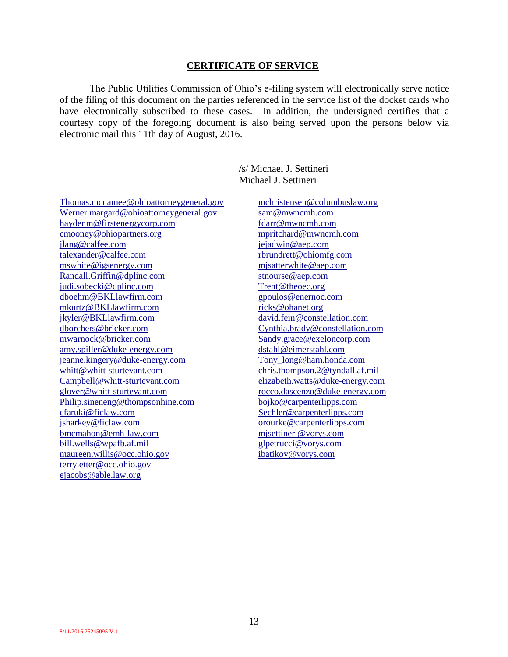#### **CERTIFICATE OF SERVICE**

The Public Utilities Commission of Ohio's e-filing system will electronically serve notice of the filing of this document on the parties referenced in the service list of the docket cards who have electronically subscribed to these cases. In addition, the undersigned certifies that a courtesy copy of the foregoing document is also being served upon the persons below via electronic mail this 11th day of August, 2016.

> /s/ Michael J. Settineri Michael J. Settineri

[Thomas.mcnamee@ohioattorneygeneral.gov](mailto:Thomas.mcnamee@ohioattorneygeneral.gov) Werner.margard@ohioattorneygeneral.gov [haydenm@firstenergycorp.com](mailto:haydenm@firstenergycorp.com) [cmooney@ohiopartners.or](mailto:cmooney@ohiopartners.o)g [jlang@calfee.com](mailto:jlang@calfee.com) [talexander@calfee.com](mailto:talexander@calfee.com) [mswhite@igsenergy.com](mailto:mswhite@igsenergy.com) [Randall.Griffin@dplinc.com](mailto:Randall.Griffin@dplinc.com) [judi.sobecki@dplinc.com](mailto:judi.sobecki@dplinc.com) [dboehm@BKLlawfirm.com](mailto:dboehm@BKLlawfirm.com) [mkurtz@BKLlawfirm.com](mailto:mkurtz@BKLlawfirm.com) [jkyler@BKLlawfirm.com](mailto:jkyler@BKLlawfirm.com) [dborchers@bricker.com](mailto:dborchers@bricker.com) [mwarnock@bricker.com](mailto:mwarnock@bricker.com) [amy.spiller@duke-energy.com](mailto:amy.spiller@duke-energy.com) [jeanne.kingery@duke-energy.com](mailto:jeanne.kingery@duke-energy.com) [whitt@whitt-sturtevant.com](mailto:whitt@whitt-sturtevant.com) [Campbell@whitt-sturtevant.com](mailto:Campbell@whitt-sturtevant.com) [glover@whitt-sturtevant.com](mailto:glover@whitt-sturtevant.com) [Philip.sineneng@thompsonhine.com](mailto:Philip.sineneng@thompsonhine.com) [cfaruki@ficlaw.com](mailto:cfaruki@ficlaw.com) [jsharkey@ficlaw.com](mailto:jsharkey@ficlaw.com) [bmcmahon@emh-law.com](mailto:bmcmahon@emh-law.com) [bill.wells@wpafb.af.mil](mailto:bill.wells@wpafb.af.mil) [maureen.willis@occ.ohio.g](mailto:yost@occ.state.oh.us)ov [terry.etter@occ.ohio.gov](mailto:terry.etter@occ.ohio.gov) [ejacobs@able.law.org](mailto:ejacobs@able.law.org)

[mchristensen@columbuslaw.org](mailto:mchristensen@columbuslaw.org) [sam@mwncmh.com](mailto:sam@mwncmh.com) [fdarr@mwncmh.com](mailto:fdarr@mwncmh.com) [mpritchard@mwncmh.com](mailto:mpritchard@mwncmh.com) [jejadwin@aep.com](mailto:jejadwin@aep.com) [rbrundrett@ohiomfg.com](mailto:rbrundrett@ohiomfg.com) [mjsatterwhite@aep.com](mailto:mjsatterwhite@aep.com) [stnourse@aep.com](mailto:stnourse@aep.com) [Trent@theoec.org](mailto:Trent@theoec.org) [gpoulos@enernoc.com](mailto:gpoulos@enernoc.com) [ricks@ohanet.org](mailto:ricks@ohanet.org) [david.fein@constellation.com](mailto:david.fein@constellation.com) [Cynthia.brady@constellation.com](mailto:Cynthia.brady@constellation.com) [Sandy.grace@exeloncorp.com](mailto:Sandy.grace@exeloncorp.com) [dstahl@eimerstahl.com](mailto:dstahl@eimerstahl.com) [Tony\\_long@ham.honda.com](mailto:Tony_long@ham.honda.com) [chris.thompson.2@tyndall.af.mil](mailto:chris.thompson.2@tyndall.af.mil) [elizabeth.watts@duke-energy.com](mailto:elizabeth.watts@duke-energy.com) [rocco.dascenzo@duke-energy.com](mailto:rocco.dascenzo@duke-energy.com) [bojko@carpenterlipps.com](mailto:bojko@carpenterlipps.com) [Sechler@carpenterlipps.com](mailto:Sechler@carpenterlipps.com) [orourke@carpenterlipps.com](mailto:orourke@carpenterlipps.com) [mjsettineri@vorys.com](mailto:mjsettineri@vorys.com) [glpetrucci@vorys.com](mailto:glpetrucci@vorys.com) [ibatikov@vorys.com](mailto:ibatikov@vorys.com)